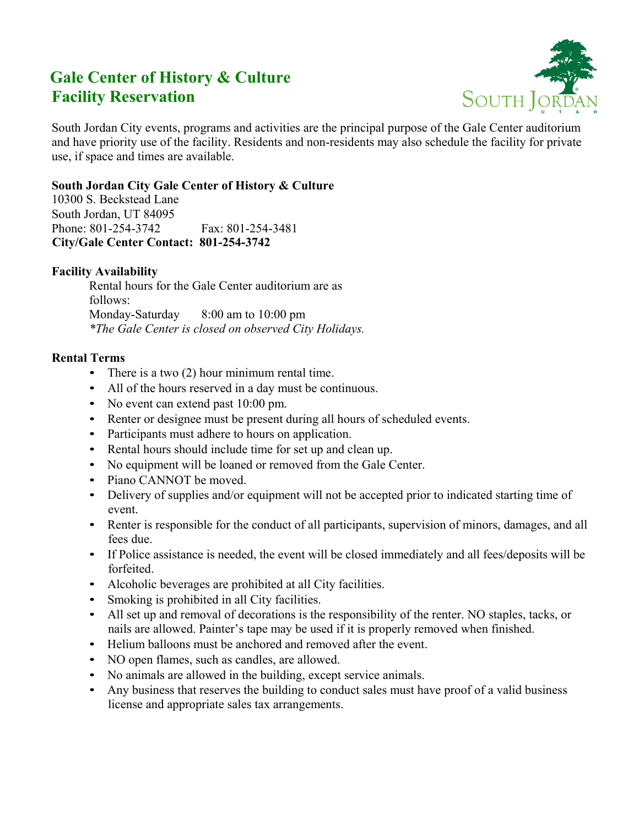# **Gale Center of History & Culture Facility Reservation**



South Jordan City events, programs and activities are the principal purpose of the Gale Center auditorium and have priority use of the facility. Residents and non-residents may also schedule the facility for private use, if space and times are available.

# **South Jordan City Gale Center of History & Culture**

10300 S. Beckstead Lane South Jordan, UT 84095 Phone: 801-254-3742 Fax: 801-254-3481  **City/Gale Center Contact: 801-254-3742** 

## **Facility Availability**

Rental hours for the Gale Center auditorium are as follows: Monday-Saturday 8:00 am to 10:00 pm *\*The Gale Center is closed on observed City Holidays.*

### **Rental Terms**

- There is a two (2) hour minimum rental time.
- All of the hours reserved in a day must be continuous.
- No event can extend past 10:00 pm.
- Renter or designee must be present during all hours of scheduled events.
- Participants must adhere to hours on application.
- Rental hours should include time for set up and clean up.
- No equipment will be loaned or removed from the Gale Center.
- Piano CANNOT be moved.
- Delivery of supplies and/or equipment will not be accepted prior to indicated starting time of event.
- Renter is responsible for the conduct of all participants, supervision of minors, damages, and all fees due.
- If Police assistance is needed, the event will be closed immediately and all fees/deposits will be forfeited.
- Alcoholic beverages are prohibited at all City facilities.
- Smoking is prohibited in all City facilities.
- All set up and removal of decorations is the responsibility of the renter. NO staples, tacks, or nails are allowed. Painter's tape may be used if it is properly removed when finished.
- Helium balloons must be anchored and removed after the event.
- NO open flames, such as candles, are allowed.
- No animals are allowed in the building, except service animals.
- Any business that reserves the building to conduct sales must have proof of a valid business license and appropriate sales tax arrangements.